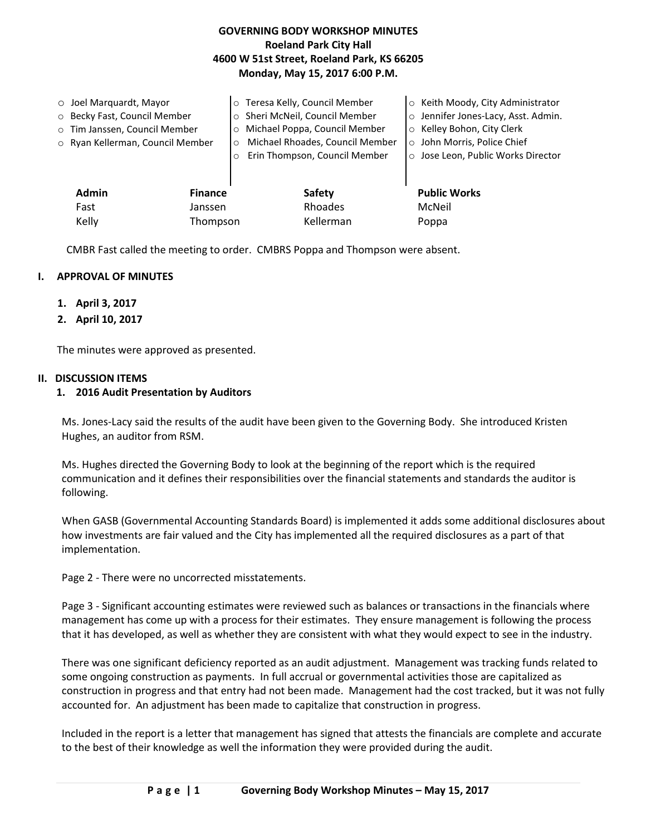# **GOVERNING BODY WORKSHOP MINUTES Roeland Park City Hall 4600 W 51st Street, Roeland Park, KS 66205 Monday, May 15, 2017 6:00 P.M.**

| $\circ$ Joel Marquardt, Mayor<br>o Becky Fast, Council Member<br>o Tim Janssen, Council Member<br>o Ryan Kellerman, Council Member |                | Teresa Kelly, Council Member<br>$\circ$<br>Sheri McNeil, Council Member<br>$\circ$<br>Michael Poppa, Council Member<br>$\circ$<br>Michael Rhoades, Council Member<br>$\circ$<br>Erin Thompson, Council Member<br>$\circ$ | ○ Keith Moody, City Administrator<br>Jennifer Jones-Lacy, Asst. Admin.<br>$\circ$<br>○ Kelley Bohon, City Clerk<br>o John Morris, Police Chief<br>o Jose Leon, Public Works Director |
|------------------------------------------------------------------------------------------------------------------------------------|----------------|--------------------------------------------------------------------------------------------------------------------------------------------------------------------------------------------------------------------------|--------------------------------------------------------------------------------------------------------------------------------------------------------------------------------------|
| <b>Admin</b>                                                                                                                       | <b>Finance</b> | Safety                                                                                                                                                                                                                   | <b>Public Works</b>                                                                                                                                                                  |
| Fast                                                                                                                               | Janssen        | Rhoades                                                                                                                                                                                                                  | McNeil                                                                                                                                                                               |
| Kelly                                                                                                                              | Thompson       | Kellerman                                                                                                                                                                                                                | Poppa                                                                                                                                                                                |

CMBR Fast called the meeting to order. CMBRS Poppa and Thompson were absent.

# **I. APPROVAL OF MINUTES**

- **1. April 3, 2017**
- **2. April 10, 2017**

The minutes were approved as presented.

#### **II. DISCUSSION ITEMS**

## **1. 2016 Audit Presentation by Auditors**

Ms. Jones-Lacy said the results of the audit have been given to the Governing Body. She introduced Kristen Hughes, an auditor from RSM.

Ms. Hughes directed the Governing Body to look at the beginning of the report which is the required communication and it defines their responsibilities over the financial statements and standards the auditor is following.

When GASB (Governmental Accounting Standards Board) is implemented it adds some additional disclosures about how investments are fair valued and the City has implemented all the required disclosures as a part of that implementation.

Page 2 - There were no uncorrected misstatements.

Page 3 - Significant accounting estimates were reviewed such as balances or transactions in the financials where management has come up with a process for their estimates. They ensure management is following the process that it has developed, as well as whether they are consistent with what they would expect to see in the industry.

There was one significant deficiency reported as an audit adjustment. Management was tracking funds related to some ongoing construction as payments. In full accrual or governmental activities those are capitalized as construction in progress and that entry had not been made. Management had the cost tracked, but it was not fully accounted for. An adjustment has been made to capitalize that construction in progress.

Included in the report is a letter that management has signed that attests the financials are complete and accurate to the best of their knowledge as well the information they were provided during the audit.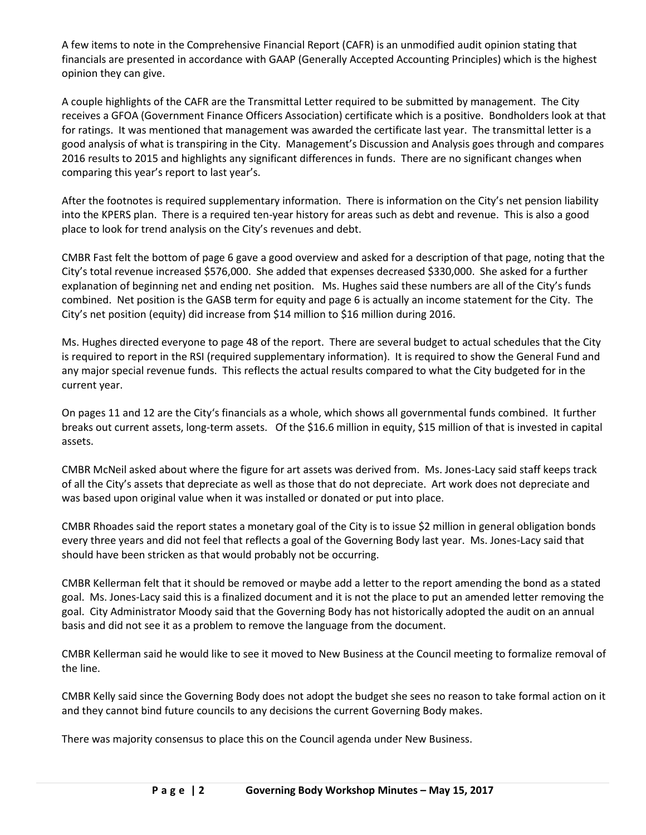A few items to note in the Comprehensive Financial Report (CAFR) is an unmodified audit opinion stating that financials are presented in accordance with GAAP (Generally Accepted Accounting Principles) which is the highest opinion they can give.

A couple highlights of the CAFR are the Transmittal Letter required to be submitted by management. The City receives a GFOA (Government Finance Officers Association) certificate which is a positive. Bondholders look at that for ratings. It was mentioned that management was awarded the certificate last year. The transmittal letter is a good analysis of what is transpiring in the City. Management's Discussion and Analysis goes through and compares 2016 results to 2015 and highlights any significant differences in funds. There are no significant changes when comparing this year's report to last year's.

After the footnotes is required supplementary information. There is information on the City's net pension liability into the KPERS plan. There is a required ten-year history for areas such as debt and revenue. This is also a good place to look for trend analysis on the City's revenues and debt.

CMBR Fast felt the bottom of page 6 gave a good overview and asked for a description of that page, noting that the City's total revenue increased \$576,000. She added that expenses decreased \$330,000. She asked for a further explanation of beginning net and ending net position. Ms. Hughes said these numbers are all of the City's funds combined. Net position is the GASB term for equity and page 6 is actually an income statement for the City. The City's net position (equity) did increase from \$14 million to \$16 million during 2016.

Ms. Hughes directed everyone to page 48 of the report. There are several budget to actual schedules that the City is required to report in the RSI (required supplementary information). It is required to show the General Fund and any major special revenue funds. This reflects the actual results compared to what the City budgeted for in the current year.

On pages 11 and 12 are the City's financials as a whole, which shows all governmental funds combined. It further breaks out current assets, long-term assets. Of the \$16.6 million in equity, \$15 million of that is invested in capital assets.

CMBR McNeil asked about where the figure for art assets was derived from. Ms. Jones-Lacy said staff keeps track of all the City's assets that depreciate as well as those that do not depreciate. Art work does not depreciate and was based upon original value when it was installed or donated or put into place.

CMBR Rhoades said the report states a monetary goal of the City is to issue \$2 million in general obligation bonds every three years and did not feel that reflects a goal of the Governing Body last year. Ms. Jones-Lacy said that should have been stricken as that would probably not be occurring.

CMBR Kellerman felt that it should be removed or maybe add a letter to the report amending the bond as a stated goal. Ms. Jones-Lacy said this is a finalized document and it is not the place to put an amended letter removing the goal. City Administrator Moody said that the Governing Body has not historically adopted the audit on an annual basis and did not see it as a problem to remove the language from the document.

CMBR Kellerman said he would like to see it moved to New Business at the Council meeting to formalize removal of the line.

CMBR Kelly said since the Governing Body does not adopt the budget she sees no reason to take formal action on it and they cannot bind future councils to any decisions the current Governing Body makes.

There was majority consensus to place this on the Council agenda under New Business.